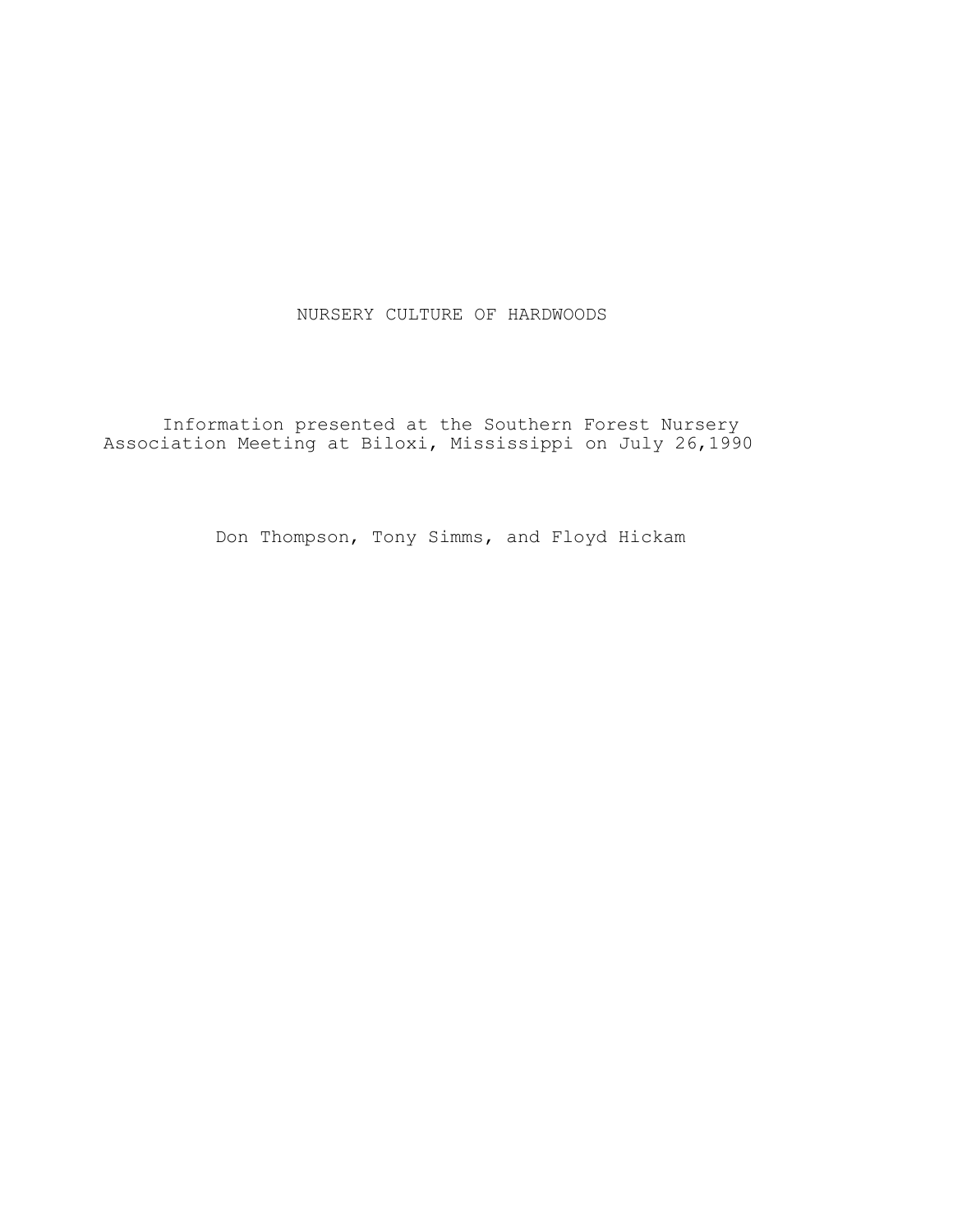# NURSERY CULTURE OF HARDWOODS

Information presented at the Southern Forest Nursery Association Meeting at Biloxi, Mississippi on July 26,1990

Don Thompson, Tony Simms, and Floyd Hickam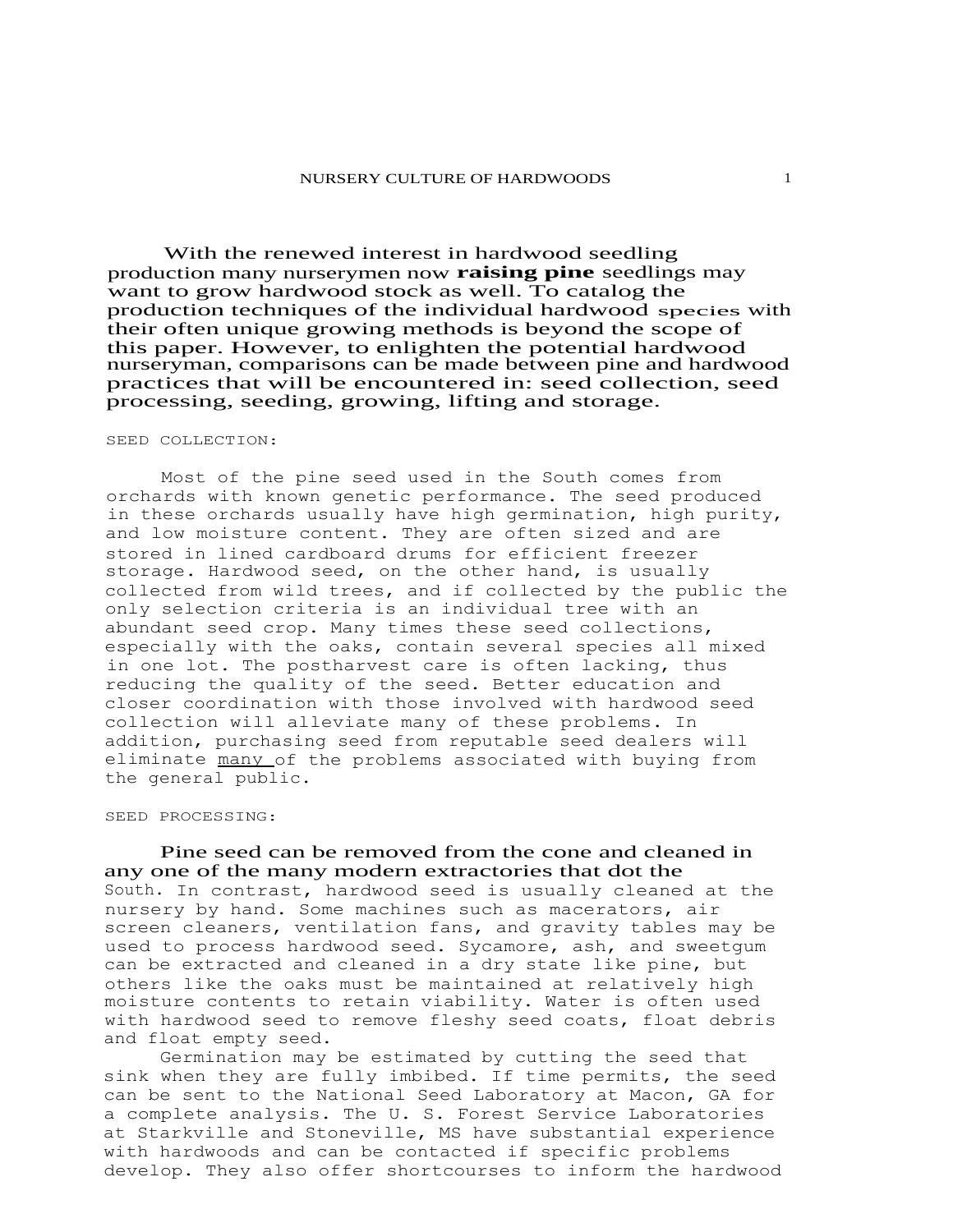With the renewed interest in hardwood seedling production many nurserymen now **raising pine** seedlings may want to grow hardwood stock as well. To catalog the production techniques of the individual hardwood species with their often unique growing methods is beyond the scope of this paper. However, to enlighten the potential hardwood nurseryman, comparisons can be made between pine and hardwood practices that will be encountered in: seed collection, seed processing, seeding, growing, lifting and storage.

#### SEED COLLECTION:

Most of the pine seed used in the South comes from orchards with known genetic performance. The seed produced in these orchards usually have high germination, high purity, and low moisture content. They are often sized and are stored in lined cardboard drums for efficient freezer storage. Hardwood seed, on the other hand, is usually collected from wild trees, and if collected by the public the only selection criteria is an individual tree with an abundant seed crop. Many times these seed collections, especially with the oaks, contain several species all mixed in one lot. The postharvest care is often lacking, thus reducing the quality of the seed. Better education and closer coordination with those involved with hardwood seed collection will alleviate many of these problems. In addition, purchasing seed from reputable seed dealers will eliminate many of the problems associated with buying from the general public.

### SEED PROCESSING:

Pine seed can be removed from the cone and cleaned in any one of the many modern extractories that dot the South. In contrast, hardwood seed is usually cleaned at the nursery by hand. Some machines such as macerators, air screen cleaners, ventilation fans, and gravity tables may be used to process hardwood seed. Sycamore, ash, and sweetgum can be extracted and cleaned in a dry state like pine, but others like the oaks must be maintained at relatively high moisture contents to retain viability. Water is often used with hardwood seed to remove fleshy seed coats, float debris and float empty seed.

Germination may be estimated by cutting the seed that sink when they are fully imbibed. If time permits, the seed can be sent to the National Seed Laboratory at Macon, GA for a complete analysis. The U. S. Forest Service Laboratories at Starkville and Stoneville, MS have substantial experience with hardwoods and can be contacted if specific problems develop. They also offer shortcourses to inform the hardwood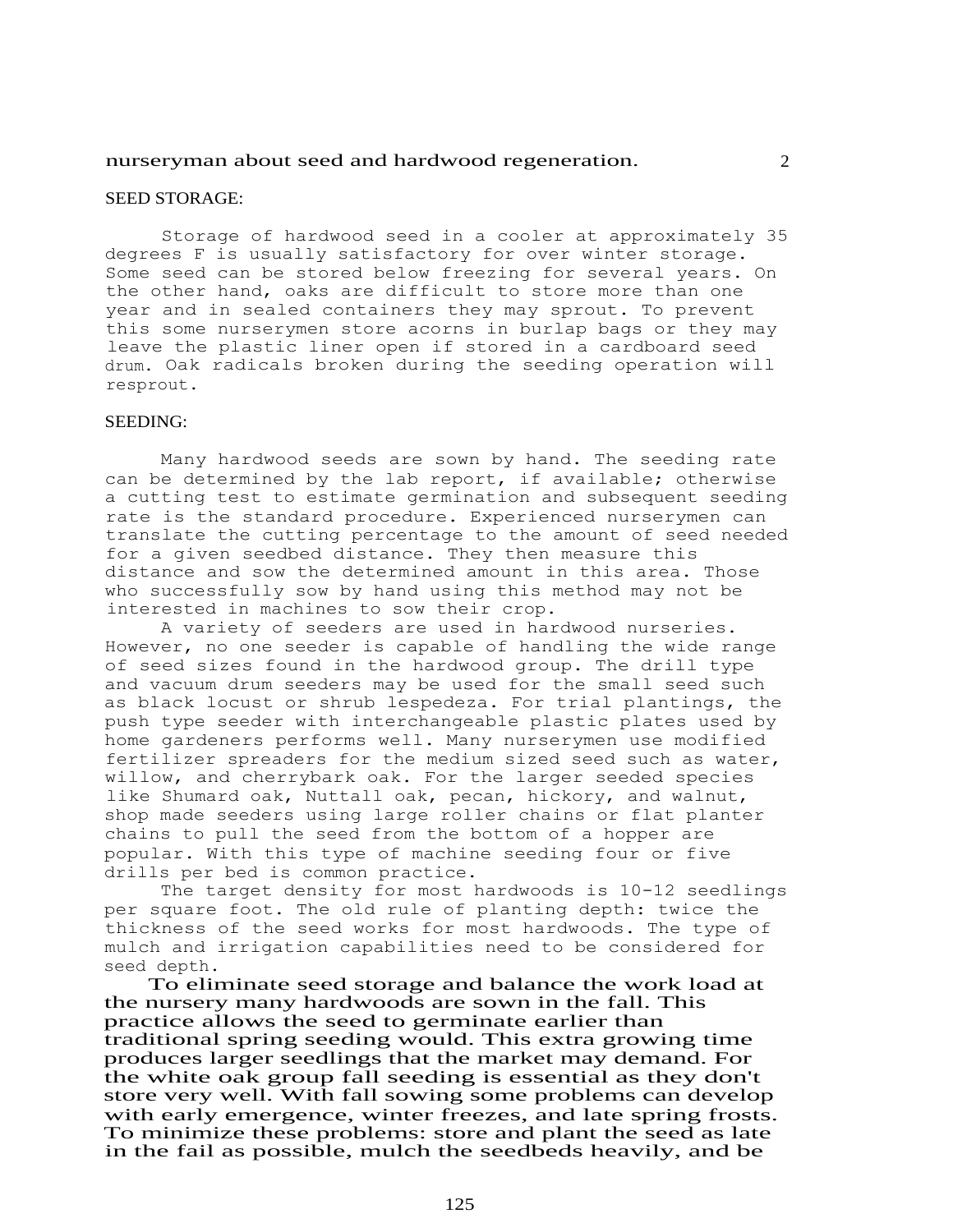### nurseryman about seed and hardwood regeneration. 2

### SEED STORAGE:

Storage of hardwood seed in a cooler at approximately 35 degrees F is usually satisfactory for over winter storage. Some seed can be stored below freezing for several years. On the other hand, oaks are difficult to store more than one year and in sealed containers they may sprout. To prevent this some nurserymen store acorns in burlap bags or they may leave the plastic liner open if stored in a cardboard seed drum. Oak radicals broken during the seeding operation will resprout.

## SEEDING:

Many hardwood seeds are sown by hand. The seeding rate can be determined by the lab report, if available; otherwise a cutting test to estimate germination and subsequent seeding rate is the standard procedure. Experienced nurserymen can translate the cutting percentage to the amount of seed needed for a given seedbed distance. They then measure this distance and sow the determined amount in this area. Those who successfully sow by hand using this method may not be interested in machines to sow their crop.

A variety of seeders are used in hardwood nurseries. However, no one seeder is capable of handling the wide range of seed sizes found in the hardwood group. The drill type and vacuum drum seeders may be used for the small seed such as black locust or shrub lespedeza. For trial plantings, the push type seeder with interchangeable plastic plates used by home gardeners performs well. Many nurserymen use modified fertilizer spreaders for the medium sized seed such as water, willow, and cherrybark oak. For the larger seeded species like Shumard oak, Nuttall oak, pecan, hickory, and walnut, shop made seeders using large roller chains or flat planter chains to pull the seed from the bottom of a hopper are popular. With this type of machine seeding four or five drills per bed is common practice.

The target density for most hardwoods is 10-12 seedlings per square foot. The old rule of planting depth: twice the thickness of the seed works for most hardwoods. The type of mulch and irrigation capabilities need to be considered for seed depth.

 To eliminate seed storage and balance the work load at the nursery many hardwoods are sown in the fall. This practice allows the seed to germinate earlier than traditional spring seeding would. This extra growing time produces larger seedlings that the market may demand. For the white oak group fall seeding is essential as they don't store very well. With fall sowing some problems can develop with early emergence, winter freezes, and late spring frosts. To minimize these problems: store and plant the seed as late in the fail as possible, mulch the seedbeds heavily, and be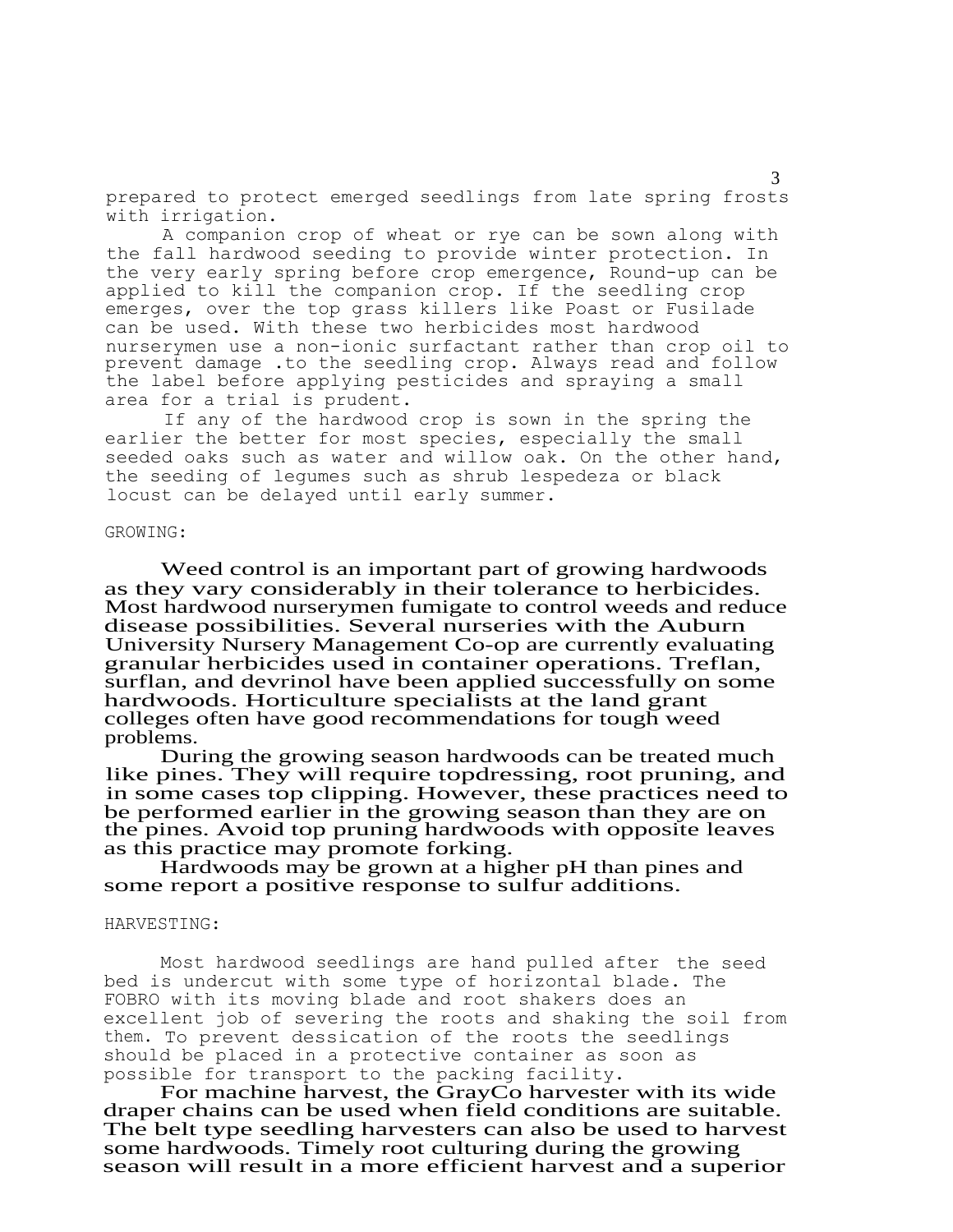prepared to protect emerged seedlings from late spring frosts with irrigation.

A companion crop of wheat or rye can be sown along with the fall hardwood seeding to provide winter protection. In the very early spring before crop emergence, Round-up can be applied to kill the companion crop. If the seedling crop emerges, over the top grass killers like Poast or Fusilade can be used. With these two herbicides most hardwood nurserymen use a non-ionic surfactant rather than crop oil to prevent damage .to the seedling crop. Always read and follow the label before applying pesticides and spraying a small area for a trial is prudent.

If any of the hardwood crop is sown in the spring the earlier the better for most species, especially the small seeded oaks such as water and willow oak. On the other hand, the seeding of legumes such as shrub lespedeza or black locust can be delayed until early summer.

## GROWING:

Weed control is an important part of growing hardwoods as they vary considerably in their tolerance to herbicides. Most hardwood nurserymen fumigate to control weeds and reduce disease possibilities. Several nurseries with the Auburn University Nursery Management Co-op are currently evaluating granular herbicides used in container operations. Treflan, surflan, and devrinol have been applied successfully on some hardwoods. Horticulture specialists at the land grant colleges often have good recommendations for tough weed problems.

During the growing season hardwoods can be treated much like pines. They will require topdressing, root pruning, and in some cases top clipping. However, these practices need to be performed earlier in the growing season than they are on the pines. Avoid top pruning hardwoods with opposite leaves as this practice may promote forking.

Hardwoods may be grown at a higher pH than pines and some report a positive response to sulfur additions.

#### HARVESTING:

Most hardwood seedlings are hand pulled after the seed bed is undercut with some type of horizontal blade. The FOBRO with its moving blade and root shakers does an excellent job of severing the roots and shaking the soil from them. To prevent dessication of the roots the seedlings should be placed in a protective container as soon as possible for transport to the packing facility.

For machine harvest, the GrayCo harvester with its wide draper chains can be used when field conditions are suitable. The belt type seedling harvesters can also be used to harvest some hardwoods. Timely root culturing during the growing season will result in a more efficient harvest and a superior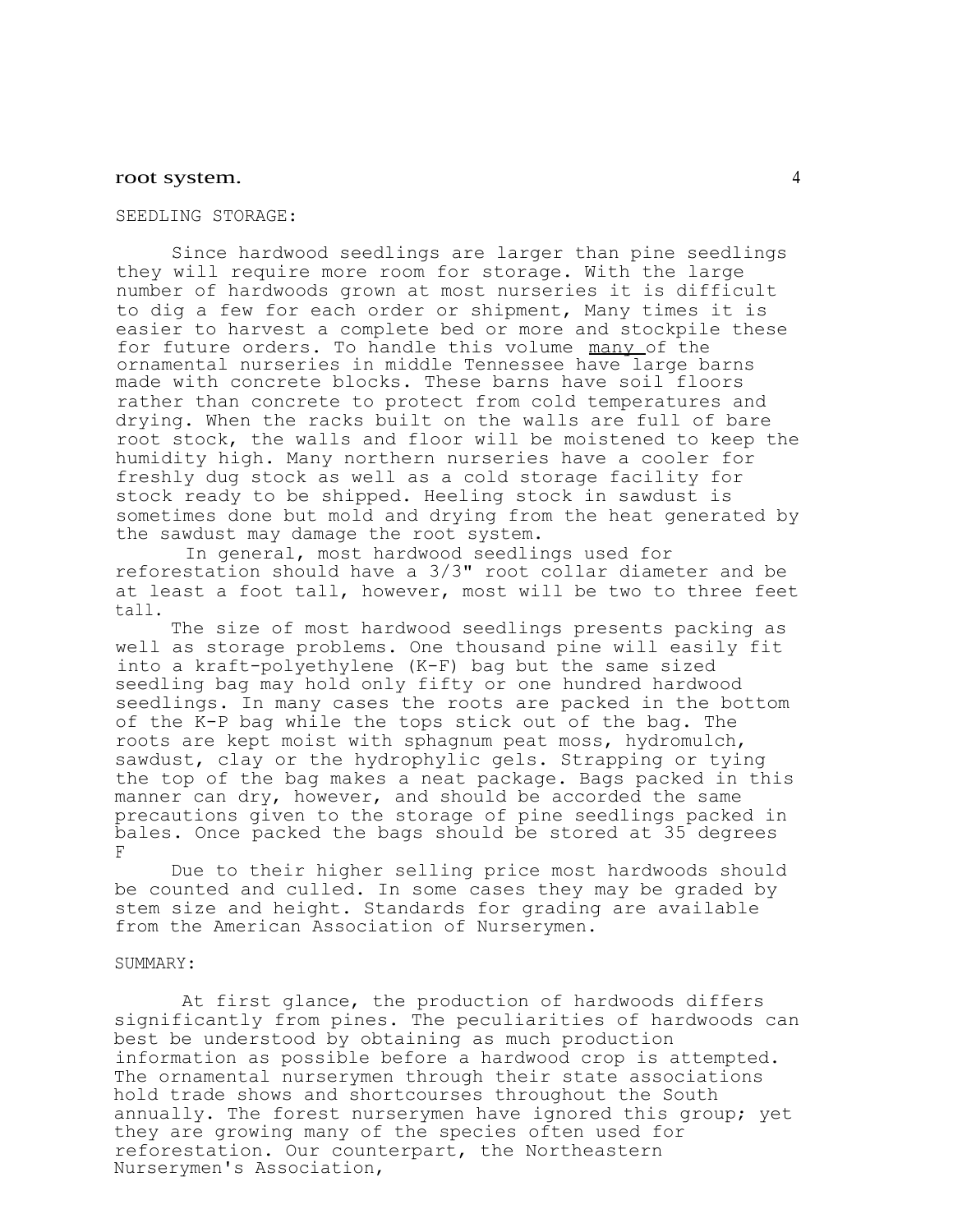## root system.  $\frac{4}{3}$

#### SEEDLING STORAGE:

Since hardwood seedlings are larger than pine seedlings they will require more room for storage. With the large number of hardwoods grown at most nurseries it is difficult to dig a few for each order or shipment, Many times it is easier to harvest a complete bed or more and stockpile these for future orders. To handle this volume many of the ornamental nurseries in middle Tennessee have large barns made with concrete blocks. These barns have soil floors rather than concrete to protect from cold temperatures and drying. When the racks built on the walls are full of bare root stock, the walls and floor will be moistened to keep the humidity high. Many northern nurseries have a cooler for freshly dug stock as well as a cold storage facility for stock ready to be shipped. Heeling stock in sawdust is sometimes done but mold and drying from the heat generated by the sawdust may damage the root system.

In general, most hardwood seedlings used for reforestation should have a 3/3" root collar diameter and be at least a foot tall, however, most will be two to three feet tall.

The size of most hardwood seedlings presents packing as well as storage problems. One thousand pine will easily fit into a kraft-polyethylene (K-F) bag but the same sized seedling bag may hold only fifty or one hundred hardwood seedlings. In many cases the roots are packed in the bottom of the K-P bag while the tops stick out of the bag. The roots are kept moist with sphagnum peat moss, hydromulch, sawdust, clay or the hydrophylic gels. Strapping or tying the top of the bag makes a neat package. Bags packed in this manner can dry, however, and should be accorded the same precautions given to the storage of pine seedlings packed in bales. Once packed the bags should be stored at 35 degrees F

Due to their higher selling price most hardwoods should be counted and culled. In some cases they may be graded by stem size and height. Standards for grading are available from the American Association of Nurserymen.

### SUMMARY:

At first glance, the production of hardwoods differs significantly from pines. The peculiarities of hardwoods can best be understood by obtaining as much production information as possible before a hardwood crop is attempted. The ornamental nurserymen through their state associations hold trade shows and shortcourses throughout the South annually. The forest nurserymen have ignored this group; yet they are growing many of the species often used for reforestation. Our counterpart, the Northeastern Nurserymen's Association,